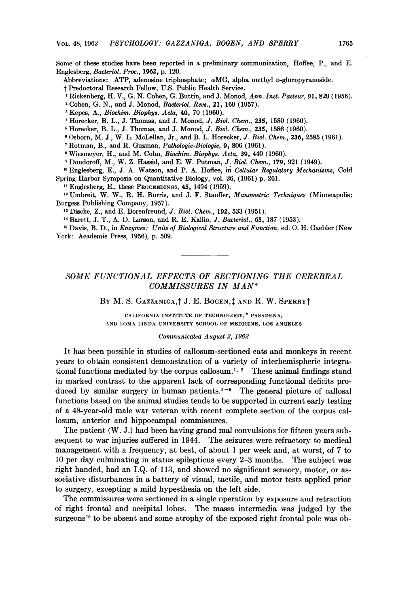Some of these studies have been reported in a preliminary communication, Hoffee, P., and E. Englesberg, Bacteriol. Proc., 1962, p. 120.

Abbreviations: ATP, adenosine triphosphate;  $\alpha$ MG, alpha methyl D-glucopyranoside.

<sup>t</sup> Predoctoral Research Fellow, U.S. Public Health Service.

<sup>l</sup> Rickenberg, H. V., G. N. Cohen, G. Buttin, and J. Monod, Ann. Inst. Pasteur, 91, 829 (1956).

<sup>2</sup> Cohen, G. N., and J. Monod, Baderiol. Revs., 21, 169 (1957).

 $3$  Kepes, A., *Biochim. Biophys. Acta*,  $40$ ,  $70$  (1960).

<sup>4</sup> Horecker, B. L., J. Thomas, and J. Monod, J. Biol. Chem., 235, 1580 (1960).

<sup>5</sup> Horecker, B. L., J. Thomas, and J. Monod, J. Biol. Chem., 235, 1586 (1960).

<sup>6</sup> Osborn, M. J., W. L. McLellan, Jr., and B. L. Horecker, J. Biol. Chem., 236, 2585 (1961).

<sup>7</sup> Rotman, B., and R. Guzman, Pathologie-Biologie, 9, 806 (1961).

<sup>8</sup> Wiesmeyer, H., and M. Cohn, Biochim. Biophys. Acta, 39, 440 (1960).

<sup>9</sup> Doudoroff, M., W. Z. Hassid, and E. W. Putman, J. Biol. Chem., 179, 921 (1949).

'0 Englesberg, E., J. A. Watson, and P. A. Hoffee, in Cellular Regulatory Mechanisms, Cold Spring Harbor Symposia on Quantitative Biology, vol. 26, (1961) p. 261.

<sup>11</sup> Englesberg, E., these PROCEEDINGS, 45, 1494 (1959).

<sup>12</sup> Umbreit, W. W., R. H. Burris, and J. F. Stauffer, *Manometric Techniques* (Minneapolis: Burgess Publishing Company, 1957).

<sup>13</sup> Dische, Z., and E. Borenfreund, J. Biol. Chem., 192, 533 (1951).

14Barett, J. T., A. D. Larson, and R. E. Kallio, J. Bacteriol., 65, 187 (1953).

<sup>15</sup> Davis, B. D., in *Enzymes: Units of Biological Structure and Function*, ed. O. H. Gaebler (New York: Academic Press, 1956), p. 509.

## SOME FUNCTIONAL EFFECTS OF SECTIONING THE CEREBRAL COMMISSURES IN MAN\*

BY M. S. GAZZANIGA,† J. E. BOGEN, $\ddagger$  AND R. W. SPERRY†

CALIFORNIA INSTITUTE OF TECHNOLOGY,\* PASADENA, AND LOMA LINDA UNIVERSITY SCHOOL OF MEDICINE, LOS ANGELES

#### Communicated August 2, 1962

It has been possible in studies of callosum-sectioned cats and monkeys in recent years to obtain consistent demonstration of a variety of interhemispheric integrational functions mediated by the corpus callosum.<sup>1, 2</sup> These animal findings stand in marked contrast to the apparent lack of corresponding functional deficits produced by similar surgery in human patients. $3-9$  The general picture of callosal functions based on the animal studies tends to be supported in current early testing of a 48-year-old male war veteran with recent complete section of the corpus callosum, anterior and hippocampal commissures.

The patient (W. J.) had been having grand mal convulsions for fifteen years subsequent to war injuries suffered in 1944. The seizures were refractory to medical management with a frequency, at best, of about <sup>1</sup> per week and, at worst, of 7 to 10 per day culminating in status epilepticus every 2-3 months. The subject was right handed, had an I.Q. of 113, and showed no significant sensory, motor, or associative disturbances in a battery of visual, tactile, and motor tests applied prior to surgery, excepting a mild hypesthesia on the left side.

The commissures were sectioned in a single operation by exposure and retraction of right frontal and occipital lobes. The massa intermedia was judged by the surgeons<sup>10</sup> to be absent and some atrophy of the exposed right frontal pole was ob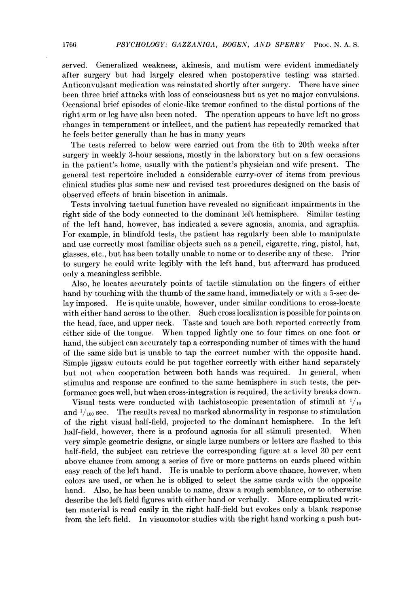served. Generalized weakness, akinesis, and mutism were evident immediately after surgery but had largely cleared when postoperative testing was started. Anticonvulsant medication was reinstated shortly after surgery. There have since been three brief attacks with loss of consciousness but as yet no major convulsions. Occasional brief episodes of clonic-like tremor confined to the distal portions of the right arm or leg have also been noted. The operation appears to have left no gross changes in temperament or intellect, and the patient has repeatedly remarked that he feels better generally than he has in many years

The tests referred to below were carried out from the 6th to 20th weeks after surgery in weekly 3-hour sessions, mostly in the laboratory but on a few occasions in the patient's home, usually with the patient's physician and wife present. The general test repertoire included a considerable carry-over of items from previous clinical studies plus some new and revised test procedures designed on the basis of observed effects of brain bisection in animals.

Tests involving tactual function have revealed no significant impairments in the right side of the body connected to the dominant left hemisphere. Similar testing of the left hand, however, has indicated a severe agnosia, anomia, and agraphia. For example, in blindfold tests, the patient has regularly been able to manipulate and use correctly most familiar objects such as a pencil, cigarette, ring, pistol, hat, glasses, etc., but has been totally unable to name or to describe any of these. Prior to surgery he could write legibly with the left hand, but afterward has produced only a meaningless scribble.

Also, he locates accurately points of tactile stimulation on the fingers of either hand by touching with the thumb of the same hand, immediately or with a 5-sec delay imposed. He is quite unable, however, under similar conditions to cross-locate with either hand across to the other. Such cross localization is possible for points on the head, face, and upper neck. Taste and touch are both reported correctly from either side of the tongue. When tapped lightly one to four times on one foot or hand, the subject can accurately tap a corresponding number of times with the hand of the same side but is unable to tap the correct number with the opposite hand. Simple jigsaw cutouts could be put together correctly with either hand separately but not when cooperation between both hands was required. In general, when stimulus and response are confined to the same hemisphere in such tests, the performance goes well, but when cross-integration is required, the activity breaks down.

Visual tests were conducted with tachistoscopic presentation of stimuli at  $\frac{1}{10}$ and  $\frac{1}{100}$  sec. The results reveal no marked abnormality in response to stimulation of the right visual half-field, projected to the dominant hemisphere. In the left half-field, however, there is a profound agnosia for all stimuli presented. When very simple geometric designs, or single large numbers or letters are flashed to this half-field, the subject can retrieve the corresponding figure at a level 30 per cent above chance from among a series of five or more patterns on cards placed within easy reach of the left hand. He is unable to perform above chance, however, when colors are used, or when he is obliged to select the same cards with the opposite hand. Also, he has been unable to name, draw a rough semblance, or to otherwise describe the left field figures with either hand or verbally. More complicated written material is read easily in the right half-field but evokes only a blank response from the left field. In visuomotor studies with the right hand working a push but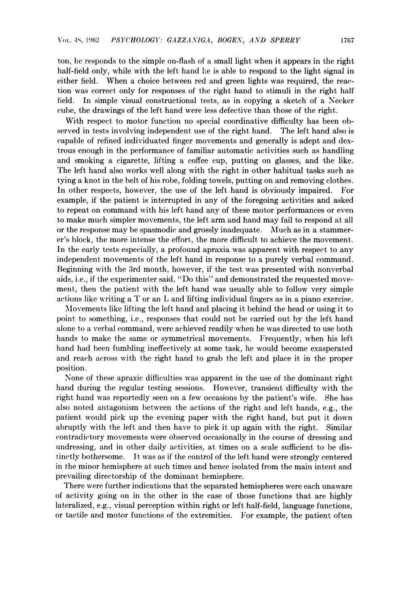ton, he responds to the simple on-flash of a small light when it appears in the right half-field only, while with the left hand he is able to respond to the light signal in either field. When a choice between red and green lights was required, the reaction was correct only for responses of the right hand to stimuli in the right half field. In simple visual constructional tests, as in copying a sketch of a Necker cube, the drawings of the left hand were less defective than those of the right.

With respect to motor function no special coordinative difficulty has been observed in tests involving independent use of the right hand. The left hand also is capable of refined individuated finger movements and generally is adept and dextrous enough in the performance of familiar automatic activities such as handling and smoking a cigarette, lifting a coffee cup, putting on glasses, and the like. The left hand also works well along with the right in other habitual tasks such as tying a knot in the belt of his robe, folding towels, putting on and removing clothes. In other respects, however, the use of the left hand is obviously impaired. For example, if the patient is interrupted in any of the foregoing activities and asked to repeat on command with his left hand any of these motor performances or even to make much simpler movements, the left arm and hand may fail to respond at all or the response may be spasmodic and grossly inadequate. Much as in a stammerer's block, the more intense the effort, the more difficult to achieve the movement. In the early tests especially, a profound apraxia was apparent with respect to any independent movements of the left hand in response to a purely verbal command. Beginning with the 3rd month, however, if the test was presented with nonverbal aids, i.e., if the experimenter said, "Do this" and demonstrated the requested movement, then the patient with the left hand was usually able to follow very simple actions like writing <sup>a</sup> T or an L and lifting individual fingers as in a piano exercise.

Movements like lifting the left hand and placing it behind the head or using it to point to something, i.e., responses that could not be carried out by the left hand alone to a verbal command, were achieved readily when he was directed to use both hands to make the same or symmetrical movements. Frequently, when his left hand had been fumbling ineffectively at some task, he would become exasperated and reach across with the right hand to grab the left and place it in the proper position.

None of these apraxic difficulties was apparent in the use of the dominant right hand during the regular testing sessions. However, transient difficulty with the right hand was reportedly seen on a few occasions by the patient's wife. She has also noted antagonism between the actions of the right and left hands, e.g., the patient would pick up the evening paper with the right hand, but put it down abruptly with the left and then have to pick it up again with the right. Similar contradictory movements were observed occasionally in the course of dressing and undressing, and in other daily activities, at times on a scale sufficient to be distinctly bothersome. It was as if the control of the left hand were strongly centered in the minor hemisphere at such times and hence isolated from the main intent and prevailing directorship of the dominant hemisphere.

There were further indications that the separated hemispheres were each unaware of activity going on in the other in the case of those functions that are highly lateralized, e.g., visual perception within right or left half-field, language functions, or tactile and motor functions of the extremities. For example, the patient often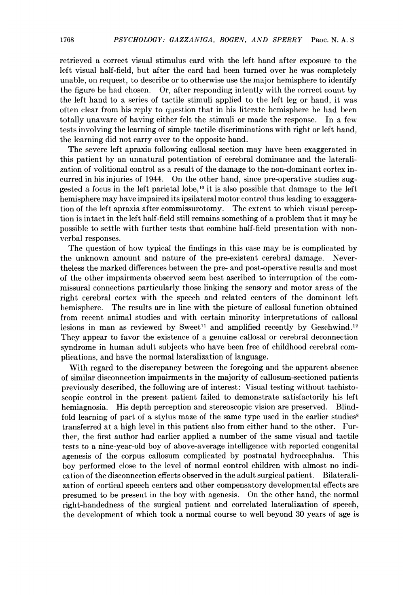retrieved a correct visual stimulus card with the left hand after exposure to the left visual half-field, but after the card had been turned over he was completely unable, on request, to describe or to otherwise use the major hemisphere to identify the figure he had chosen. Or, after responding intently with the correct count by the left hand to a series of tactile stimuli applied to the left leg or hand, it was often clear from his reply to question that in his literate hemisphere he had been totally unaware of having either felt the stimuli or made the response. In a few tests involving the learning of simple tactile discriminations with right or left hand, the learning did not carry over to the opposite hand.

The severe left apraxia following callosal section may have been exaggerated in this patient by an unnatural potentiation of cerebral dominance and the lateralization of volitional control as a result of the damage to the non-dominant cortex incurred in his injuries of 1944. On the other hand, since pre-operative studies suggested a focus in the left parietal lobe,'0 it is also possible that damage to the left hemisphere may have impaired its ipsilateral motor control thus leading to exaggeration of the left apraxia after commissurotomy. The extent to which visual perception is intact in the left half-field still remains something of a problem that it may be possible to settle with further tests that combine half-field presentation with nonverbal responses.

The question of how typical the findings in this case may be is complicated by the unknown amount and nature of the pre-existent cerebral damage. Nevertheless the marked differences between the pre- and post-operative results and most of the other impairments observed seem best ascribed to interruption of the commissural connections particularly those linking the sensory and motor areas of the right cerebral cortex with the speech and related centers of the dominant left hemisphere. The results are in line with the picture of callosal function obtained from recent animal studies and with certain minority interpretations of callosal lesions in man as reviewed by Sweet<sup>11</sup> and amplified recently by Geschwind.<sup>12</sup> They appear to favor the existence of a genuine callosal or cerebral deconnection syndrome in human adult subjects who have been free of childhood cerebral complications, and have the normal lateralization of language.

With regard to the discrepancy between the foregoing and the apparent absence of similar disconnection impairments in the majority of callosum-sectioned patients previously described, the following are of interest: Visual testing without tachistoscopic control in the present patient failed to demonstrate satisfactorily his left hemiagnosia. His depth perception and stereoscopic vision are preserved. Blindfold learning of part of a stylus maze of the same type used in the earlier studies<sup>8</sup> transferred at a high level in this patient also from either hand to the other. Further, the first author had earlier applied a number of the same visual and tactile tests to a nine-year-old boy of above-average intelligence with reported congenital agenesis of the corpus callosum complicated by postnatal hydrocephalus. This boy performed close to the level of normal control children with almost no indication of the disconnection effects observed in the adult surgical patient. Bilateralization of cortical speech centers and other compensatory developmental effects are presumed to be present in the boy with agenesis. On the other hand, the normal right-handedness of the surgical patient and correlated lateralization of speech, the development of which took a normal course to well beyond 30 years of age is